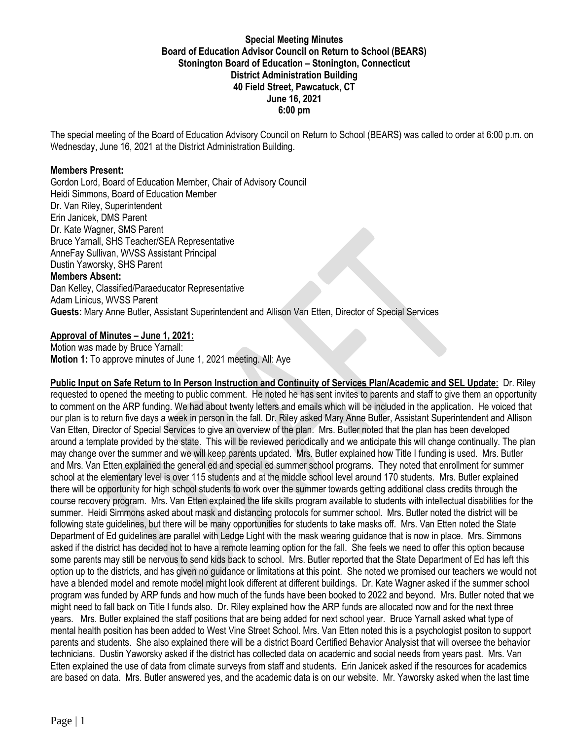### **Special Meeting Minutes Board of Education Advisor Council on Return to School (BEARS) Stonington Board of Education – Stonington, Connecticut District Administration Building 40 Field Street, Pawcatuck, CT June 16, 2021 6:00 pm**

The special meeting of the Board of Education Advisory Council on Return to School (BEARS) was called to order at 6:00 p.m. on Wednesday, June 16, 2021 at the District Administration Building.

#### **Members Present:**

Gordon Lord, Board of Education Member, Chair of Advisory Council Heidi Simmons, Board of Education Member Dr. Van Riley, Superintendent Erin Janicek, DMS Parent Dr. Kate Wagner, SMS Parent Bruce Yarnall, SHS Teacher/SEA Representative AnneFay Sullivan, WVSS Assistant Principal Dustin Yaworsky, SHS Parent **Members Absent:** Dan Kelley, Classified/Paraeducator Representative Adam Linicus, WVSS Parent **Guests:** Mary Anne Butler, Assistant Superintendent and Allison Van Etten, Director of Special Services

### **Approval of Minutes – June 1, 2021:**

Motion was made by Bruce Yarnall: **Motion 1:** To approve minutes of June 1, 2021 meeting. All: Aye

**Public Input on Safe Return to In Person Instruction and Continuity of Services Plan/Academic and SEL Update:** Dr. Riley requested to opened the meeting to public comment. He noted he has sent invites to parents and staff to give them an opportunity to comment on the ARP funding. We had about twenty letters and emails which will be included in the application. He voiced that our plan is to return five days a week in person in the fall. Dr. Riley asked Mary Anne Butler, Assistant Superintendent and Allison Van Etten, Director of Special Services to give an overview of the plan. Mrs. Butler noted that the plan has been developed around a template provided by the state. This will be reviewed periodically and we anticipate this will change continually. The plan may change over the summer and we will keep parents updated. Mrs. Butler explained how Title I funding is used. Mrs. Butler and Mrs. Van Etten explained the general ed and special ed summer school programs. They noted that enrollment for summer school at the elementary level is over 115 students and at the middle school level around 170 students. Mrs. Butler explained there will be opportunity for high school students to work over the summer towards getting additional class credits through the course recovery program. Mrs. Van Etten explained the life skills program available to students with intellectual disabilities for the summer. Heidi Simmons asked about mask and distancing protocols for summer school. Mrs. Butler noted the district will be following state guidelines, but there will be many opportunities for students to take masks off. Mrs. Van Etten noted the State Department of Ed guidelines are parallel with Ledge Light with the mask wearing guidance that is now in place. Mrs. Simmons asked if the district has decided not to have a remote learning option for the fall. She feels we need to offer this option because some parents may still be nervous to send kids back to school. Mrs. Butler reported that the State Department of Ed has left this option up to the districts, and has given no guidance or limitations at this point. She noted we promised our teachers we would not have a blended model and remote model might look different at different buildings. Dr. Kate Wagner asked if the summer school program was funded by ARP funds and how much of the funds have been booked to 2022 and beyond. Mrs. Butler noted that we might need to fall back on Title I funds also. Dr. Riley explained how the ARP funds are allocated now and for the next three years. Mrs. Butler explained the staff positions that are being added for next school year. Bruce Yarnall asked what type of mental health position has been added to West Vine Street School. Mrs. Van Etten noted this is a psychologist positon to support parents and students. She also explained there will be a district Board Certified Behavior Analysist that will oversee the behavior technicians. Dustin Yaworsky asked if the district has collected data on academic and social needs from years past. Mrs. Van Etten explained the use of data from climate surveys from staff and students. Erin Janicek asked if the resources for academics are based on data. Mrs. Butler answered yes, and the academic data is on our website. Mr. Yaworsky asked when the last time